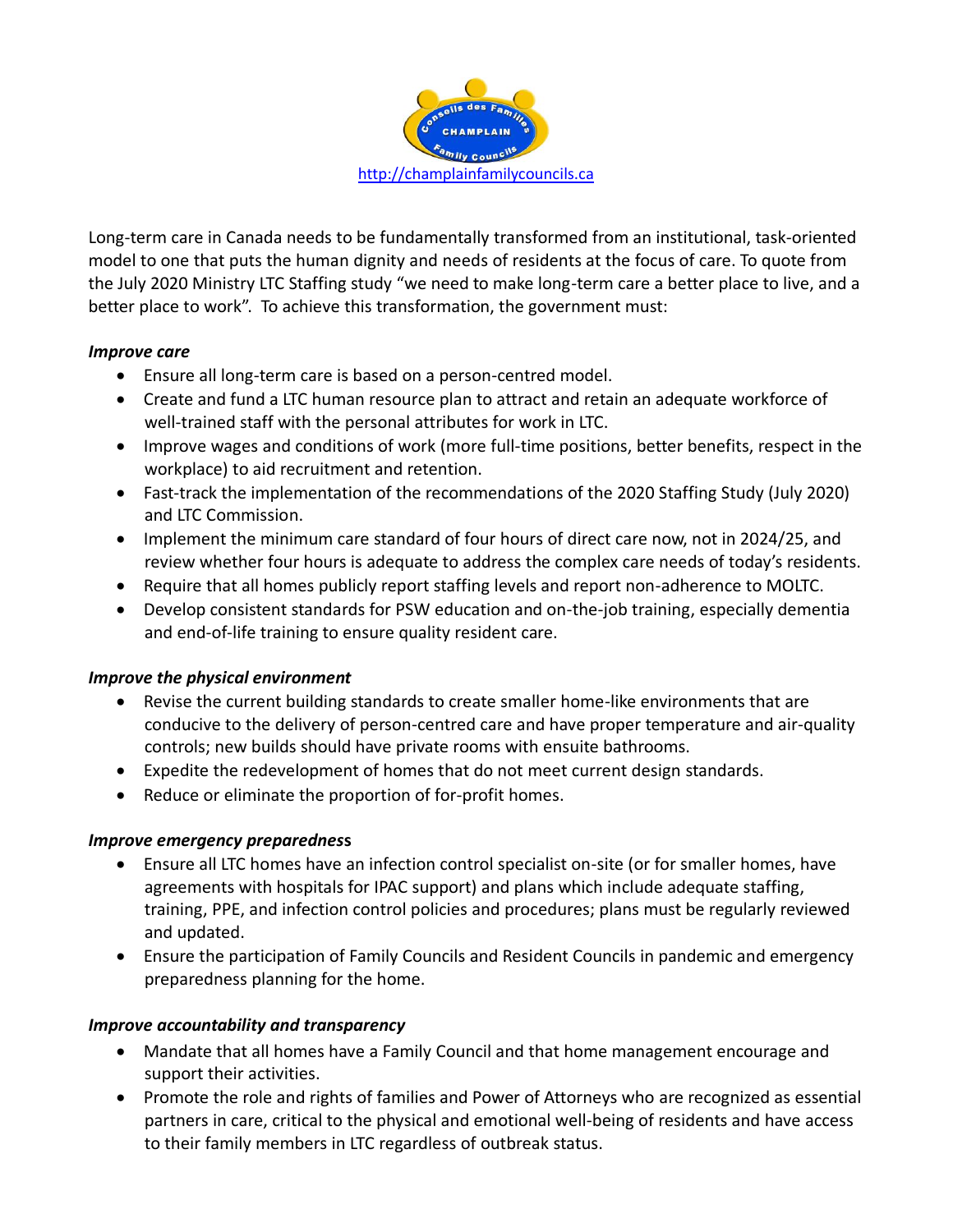

Long-term care in Canada needs to be fundamentally transformed from an institutional, task-oriented model to one that puts the human dignity and needs of residents at the focus of care. To quote from the July 2020 Ministry LTC Staffing study "we need to make long-term care a better place to live, and a better place to work". To achieve this transformation, the government must:

## *Improve care*

- Ensure all long-term care is based on a person-centred model.
- Create and fund a LTC human resource plan to attract and retain an adequate workforce of well-trained staff with the personal attributes for work in LTC.
- Improve wages and conditions of work (more full-time positions, better benefits, respect in the workplace) to aid recruitment and retention.
- Fast-track the implementation of the recommendations of the 2020 Staffing Study (July 2020) and LTC Commission.
- Implement the minimum care standard of four hours of direct care now, not in 2024/25, and review whether four hours is adequate to address the complex care needs of today's residents.
- Require that all homes publicly report staffing levels and report non-adherence to MOLTC.
- Develop consistent standards for PSW education and on-the-job training, especially dementia and end-of-life training to ensure quality resident care.

## *Improve the physical environment*

- Revise the current building standards to create smaller home-like environments that are conducive to the delivery of person-centred care and have proper temperature and air-quality controls; new builds should have private rooms with ensuite bathrooms.
- Expedite the redevelopment of homes that do not meet current design standards.
- Reduce or eliminate the proportion of for-profit homes.

## *Improve emergency preparednes***s**

- Ensure all LTC homes have an infection control specialist on-site (or for smaller homes, have agreements with hospitals for IPAC support) and plans which include adequate staffing, training, PPE, and infection control policies and procedures; plans must be regularly reviewed and updated.
- Ensure the participation of Family Councils and Resident Councils in pandemic and emergency preparedness planning for the home.

## *Improve accountability and transparency*

- Mandate that all homes have a Family Council and that home management encourage and support their activities.
- Promote the role and rights of families and Power of Attorneys who are recognized as essential partners in care, critical to the physical and emotional well-being of residents and have access to their family members in LTC regardless of outbreak status.